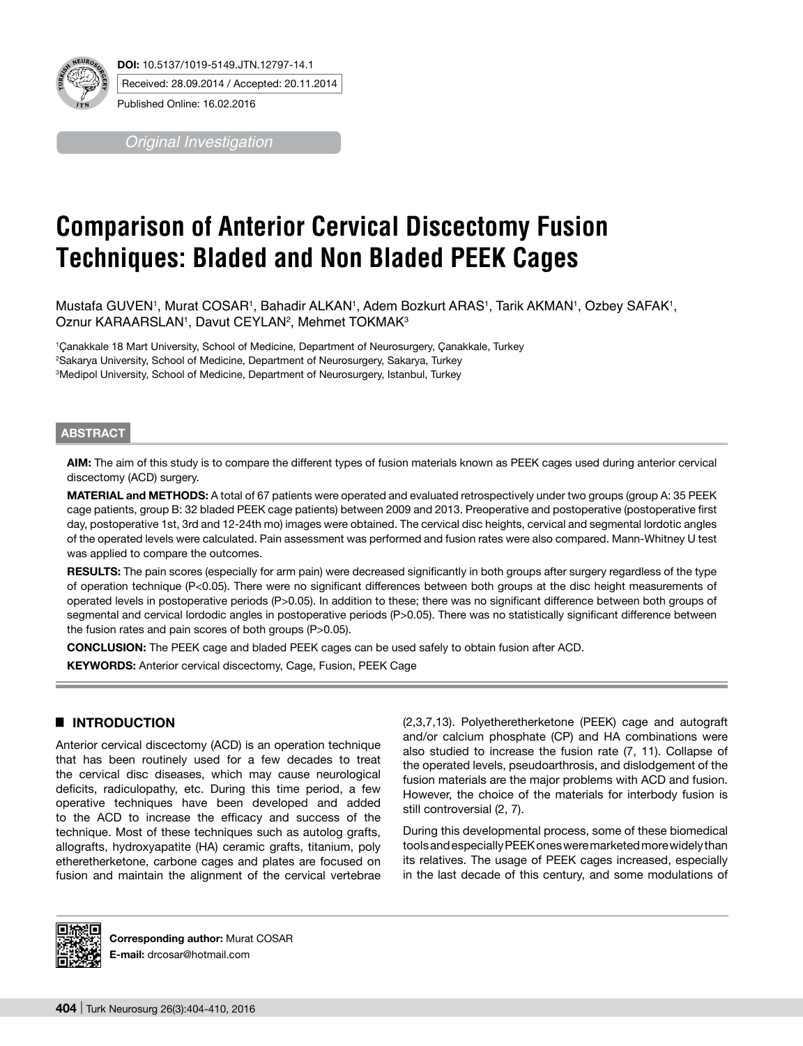

*Original Investigation*

# **Comparison of Anterior Cervical Discectomy Fusion Techniques: Bladed and Non Bladed PEEK Cages**

Mustafa GUVEN', Murat COSAR', Bahadir ALKAN', Adem Bozkurt ARAS', Tarik AKMAN', Ozbey SAFAK', Oznur KARAARSLAN1, Davut CEYLAN<sup>2</sup>, Mehmet TOKMAK<sup>3</sup>

1 Çanakkale 18 Mart University, School of Medicine, Department of Neurosurgery, Çanakkale, Turkey 2 Sakarya University, School of Medicine, Department of Neurosurgery, Sakarya, Turkey 3 Medipol University, School of Medicine, Department of Neurosurgery, Istanbul, Turkey

#### **ABSTRACT**

**AIm:** The aim of this study is to compare the different types of fusion materials known as PEEK cages used during anterior cervical discectomy (ACD) surgery.

**MaterIal and Methods:** A total of 67 patients were operated and evaluated retrospectively under two groups (group A: 35 PEEK cage patients, group B: 32 bladed PEEK cage patients) between 2009 and 2013. Preoperative and postoperative (postoperative first day, postoperative 1st, 3rd and 12-24th mo) images were obtained. The cervical disc heights, cervical and segmental lordotic angles of the operated levels were calculated. Pain assessment was performed and fusion rates were also compared. Mann-Whitney U test was applied to compare the outcomes.

RESULTS: The pain scores (especially for arm pain) were decreased significantly in both groups after surgery regardless of the type of operation technique (P<0.05). There were no significant differences between both groups at the disc height measurements of operated levels in postoperative periods (P>0.05). In addition to these; there was no significant difference between both groups of segmental and cervical lordodic angles in postoperative periods (P>0.05). There was no statistically significant difference between the fusion rates and pain scores of both groups (P>0.05).

**ConclusIon:** The PEEK cage and bladed PEEK cages can be used safely to obtain fusion after ACD.

**KEYWORDS:** Anterior cervical discectomy, Cage, Fusion, PEEK Cage

# █ **INTRODUCTION**

Anterior cervical discectomy (ACD) is an operation technique that has been routinely used for a few decades to treat the cervical disc diseases, which may cause neurological deficits, radiculopathy, etc. During this time period, a few operative techniques have been developed and added to the ACD to increase the efficacy and success of the technique. Most of these techniques such as autolog grafts, allografts, hydroxyapatite (HA) ceramic grafts, titanium, poly etheretherketone, carbone cages and plates are focused on fusion and maintain the alignment of the cervical vertebrae (2,3,7,13). Polyetheretherketone (PEEK) cage and autograft and/or calcium phosphate (CP) and HA combinations were also studied to increase the fusion rate (7, 11). Collapse of the operated levels, pseudoarthrosis, and dislodgement of the fusion materials are the major problems with ACD and fusion. However, the choice of the materials for interbody fusion is still controversial (2, 7).

During this developmental process, some of these biomedical tools and especially PEEK ones were marketed more widely than its relatives. The usage of PEEK cages increased, especially in the last decade of this century, and some modulations of



**Corresponding author:** Murat COSAR **E-mail:** drcosar@hotmail.com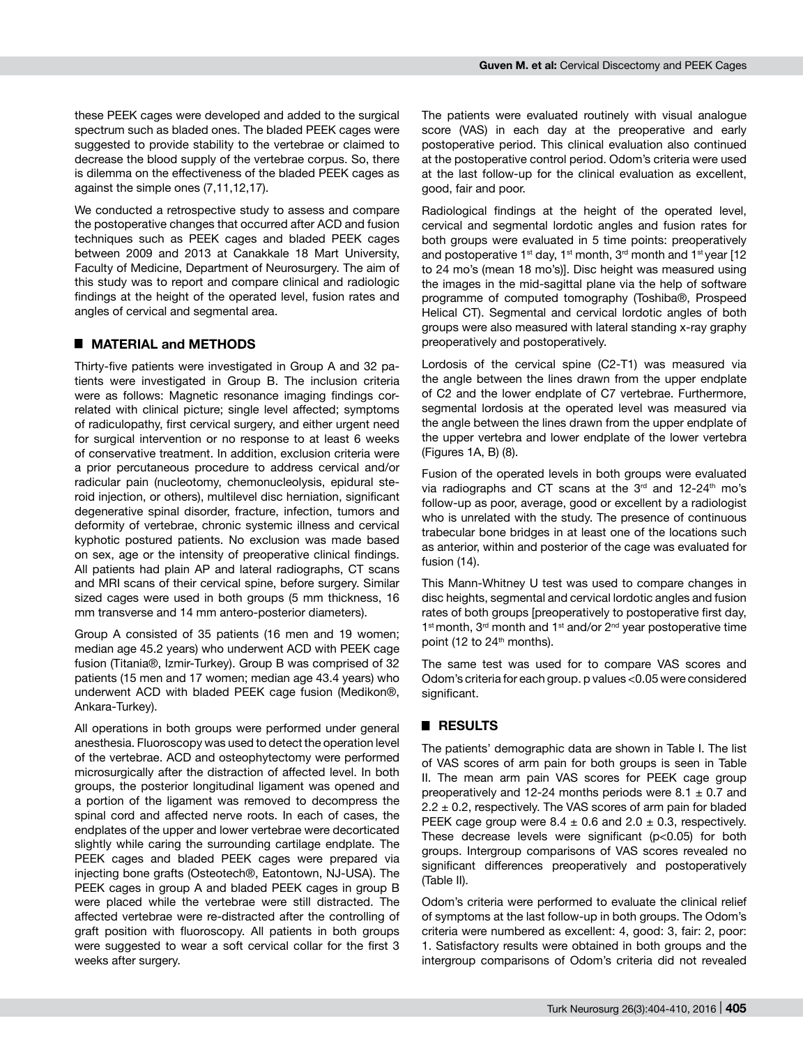these PEEK cages were developed and added to the surgical spectrum such as bladed ones. The bladed PEEK cages were suggested to provide stability to the vertebrae or claimed to decrease the blood supply of the vertebrae corpus. So, there is dilemma on the effectiveness of the bladed PEEK cages as against the simple ones (7,11,12,17).

We conducted a retrospective study to assess and compare the postoperative changes that occurred after ACD and fusion techniques such as PEEK cages and bladed PEEK cages between 2009 and 2013 at Canakkale 18 Mart University, Faculty of Medicine, Department of Neurosurgery. The aim of this study was to report and compare clinical and radiologic findings at the height of the operated level, fusion rates and angles of cervical and segmental area.

# █ **MATERIAL and METHODS**

Thirty-five patients were investigated in Group A and 32 patients were investigated in Group B. The inclusion criteria were as follows: Magnetic resonance imaging findings correlated with clinical picture; single level affected; symptoms of radiculopathy, first cervical surgery, and either urgent need for surgical intervention or no response to at least 6 weeks of conservative treatment. In addition, exclusion criteria were a prior percutaneous procedure to address cervical and/or radicular pain (nucleotomy, chemonucleolysis, epidural steroid injection, or others), multilevel disc herniation, significant degenerative spinal disorder, fracture, infection, tumors and deformity of vertebrae, chronic systemic illness and cervical kyphotic postured patients. No exclusion was made based on sex, age or the intensity of preoperative clinical findings. All patients had plain AP and lateral radiographs, CT scans and MRI scans of their cervical spine, before surgery. Similar sized cages were used in both groups (5 mm thickness, 16 mm transverse and 14 mm antero-posterior diameters).

Group A consisted of 35 patients (16 men and 19 women; median age 45.2 years) who underwent ACD with PEEK cage fusion (Titania®, Izmir-Turkey). Group B was comprised of 32 patients (15 men and 17 women; median age 43.4 years) who underwent ACD with bladed PEEK cage fusion (Medikon®, Ankara-Turkey).

All operations in both groups were performed under general anesthesia. Fluoroscopy was used to detect the operation level of the vertebrae. ACD and osteophytectomy were performed microsurgically after the distraction of affected level. In both groups, the posterior longitudinal ligament was opened and a portion of the ligament was removed to decompress the spinal cord and affected nerve roots. In each of cases, the endplates of the upper and lower vertebrae were decorticated slightly while caring the surrounding cartilage endplate. The PEEK cages and bladed PEEK cages were prepared via injecting bone grafts (Osteotech®, Eatontown, NJ-USA). The PEEK cages in group A and bladed PEEK cages in group B were placed while the vertebrae were still distracted. The affected vertebrae were re-distracted after the controlling of graft position with fluoroscopy. All patients in both groups were suggested to wear a soft cervical collar for the first 3 weeks after surgery.

The patients were evaluated routinely with visual analogue score (VAS) in each day at the preoperative and early postoperative period. This clinical evaluation also continued at the postoperative control period. Odom's criteria were used at the last follow-up for the clinical evaluation as excellent, good, fair and poor.

Radiological findings at the height of the operated level, cervical and segmental lordotic angles and fusion rates for both groups were evaluated in 5 time points: preoperatively and postoperative 1<sup>st</sup> day, 1<sup>st</sup> month, 3<sup>rd</sup> month and 1<sup>st</sup> year [12] to 24 mo's (mean 18 mo's)]. Disc height was measured using the images in the mid-sagittal plane via the help of software programme of computed tomography (Toshiba®, Prospeed Helical CT). Segmental and cervical lordotic angles of both groups were also measured with lateral standing x-ray graphy preoperatively and postoperatively.

Lordosis of the cervical spine (C2-T1) was measured via the angle between the lines drawn from the upper endplate of C2 and the lower endplate of C7 vertebrae. Furthermore, segmental lordosis at the operated level was measured via the angle between the lines drawn from the upper endplate of the upper vertebra and lower endplate of the lower vertebra (Figures 1A, B) (8).

Fusion of the operated levels in both groups were evaluated via radiographs and CT scans at the  $3<sup>rd</sup>$  and  $12-24<sup>th</sup>$  mo's follow-up as poor, average, good or excellent by a radiologist who is unrelated with the study. The presence of continuous trabecular bone bridges in at least one of the locations such as anterior, within and posterior of the cage was evaluated for fusion (14).

This Mann-Whitney U test was used to compare changes in disc heights, segmental and cervical lordotic angles and fusion rates of both groups [preoperatively to postoperative first day, 1<sup>st</sup> month, 3<sup>rd</sup> month and 1<sup>st</sup> and/or 2<sup>nd</sup> year postoperative time point (12 to  $24<sup>th</sup>$  months).

The same test was used for to compare VAS scores and Odom's criteria for each group. p values <0.05 were considered significant.

# █ **RESULTS**

The patients' demographic data are shown in Table I. The list of VAS scores of arm pain for both groups is seen in Table II. The mean arm pain VAS scores for PEEK cage group preoperatively and 12-24 months periods were  $8.1 \pm 0.7$  and  $2.2 \pm 0.2$ , respectively. The VAS scores of arm pain for bladed PEEK cage group were  $8.4 \pm 0.6$  and  $2.0 \pm 0.3$ , respectively. These decrease levels were significant  $(p<0.05)$  for both groups. Intergroup comparisons of VAS scores revealed no significant differences preoperatively and postoperatively (Table II).

Odom's criteria were performed to evaluate the clinical relief of symptoms at the last follow-up in both groups. The Odom's criteria were numbered as excellent: 4, good: 3, fair: 2, poor: 1. Satisfactory results were obtained in both groups and the intergroup comparisons of Odom's criteria did not revealed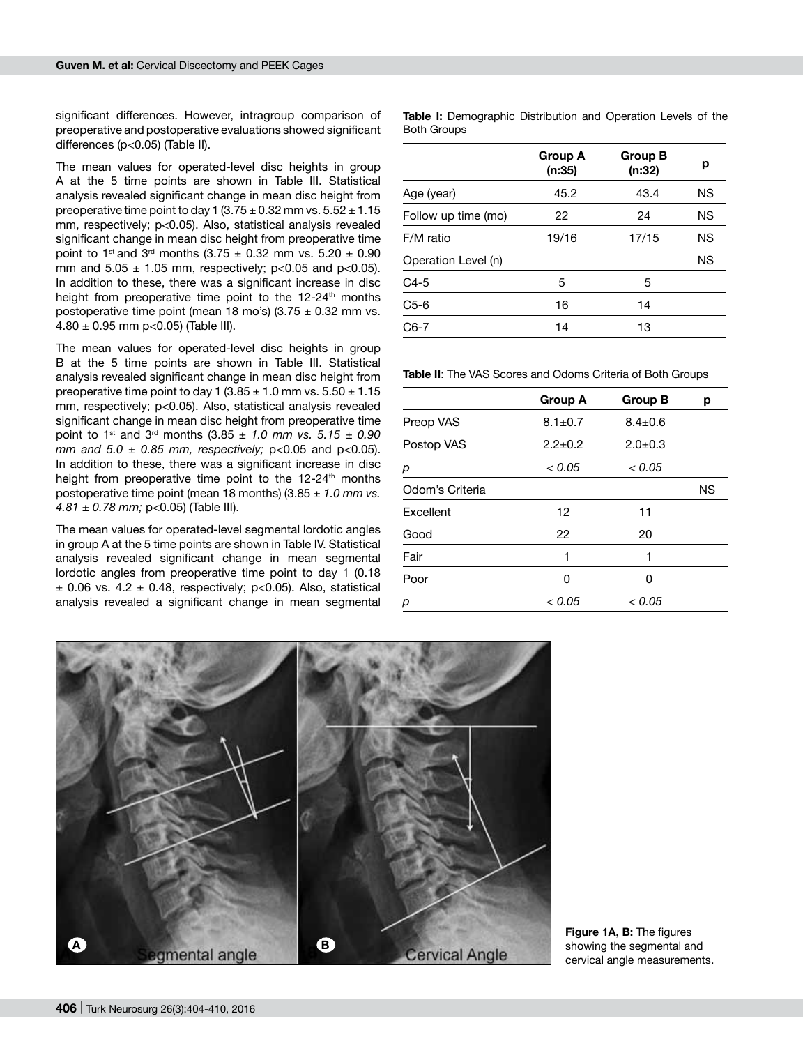significant differences. However, intragroup comparison of preoperative and postoperative evaluations showed significant differences (p<0.05) (Table II).

The mean values for operated-level disc heights in group A at the 5 time points are shown in Table III. Statistical analysis revealed significant change in mean disc height from preoperative time point to day 1  $(3.75 \pm 0.32$  mm vs.  $5.52 \pm 1.15$ mm, respectively; p<0.05). Also, statistical analysis revealed significant change in mean disc height from preoperative time point to 1<sup>st</sup> and 3<sup>rd</sup> months (3.75  $\pm$  0.32 mm vs. 5.20  $\pm$  0.90 mm and  $5.05 \pm 1.05$  mm, respectively; p<0.05 and p<0.05). In addition to these, there was a significant increase in disc height from preoperative time point to the 12-24<sup>th</sup> months postoperative time point (mean 18 mo's) (3.75  $\pm$  0.32 mm vs.  $4.80 \pm 0.95$  mm p<0.05) (Table III).

The mean values for operated-level disc heights in group B at the 5 time points are shown in Table III. Statistical analysis revealed significant change in mean disc height from preoperative time point to day 1 (3.85  $\pm$  1.0 mm vs. 5.50  $\pm$  1.15 mm, respectively; p<0.05). Also, statistical analysis revealed significant change in mean disc height from preoperative time point to 1<sup>st</sup> and 3<sup>rd</sup> months  $(3.85 \pm 1.0 \text{ mm} \text{ vs. } 5.15 \pm 0.90 \text{ m}$ *mm and 5.0 ± 0.85 mm, respectively;* p<0.05 and p<0.05). In addition to these, there was a significant increase in disc height from preoperative time point to the  $12-24$ <sup>th</sup> months postoperative time point (mean 18 months) (3.85 *± 1.0 mm vs. 4.81 ± 0.78 mm;* p<0.05) (Table III).

The mean values for operated-level segmental lordotic angles in group A at the 5 time points are shown in Table IV. Statistical analysis revealed significant change in mean segmental lordotic angles from preoperative time point to day 1 (0.18  $\pm$  0.06 vs. 4.2  $\pm$  0.48, respectively; p<0.05). Also, statistical analysis revealed a significant change in mean segmental

**Table I:** Demographic Distribution and Operation Levels of the Both Groups

|                     | <b>Group A</b><br>(n:35) | <b>Group B</b><br>(n:32) | р         |
|---------------------|--------------------------|--------------------------|-----------|
| Age (year)          | 45.2                     | 43.4                     | ΝS        |
| Follow up time (mo) | 22                       | 24                       | <b>NS</b> |
| F/M ratio           | 19/16                    | 17/15                    | ΝS        |
| Operation Level (n) |                          |                          | ΝS        |
| $C4-5$              | 5                        | 5                        |           |
| $C5-6$              | 16                       | 14                       |           |
| $C6-7$              | 14                       | 13                       |           |

**Table II**: The VAS Scores and Odoms Criteria of Both Groups

|                 | <b>Group A</b> | <b>Group B</b> | р         |
|-----------------|----------------|----------------|-----------|
| Preop VAS       | $8.1 \pm 0.7$  | $8.4 \pm 0.6$  |           |
| Postop VAS      | $2.2+0.2$      | $2.0 \pm 0.3$  |           |
| р               | < 0.05         | < 0.05         |           |
| Odom's Criteria |                |                | <b>NS</b> |
| Excellent       | 12             | 11             |           |
| Good            | 22             | 20             |           |
| Fair            | 1              | 1              |           |
| Poor            | Ω              | n              |           |
| р               | < 0.05         | < 0.05         |           |



Figure 1A, B: The figures showing the segmental and cervical angle measurements.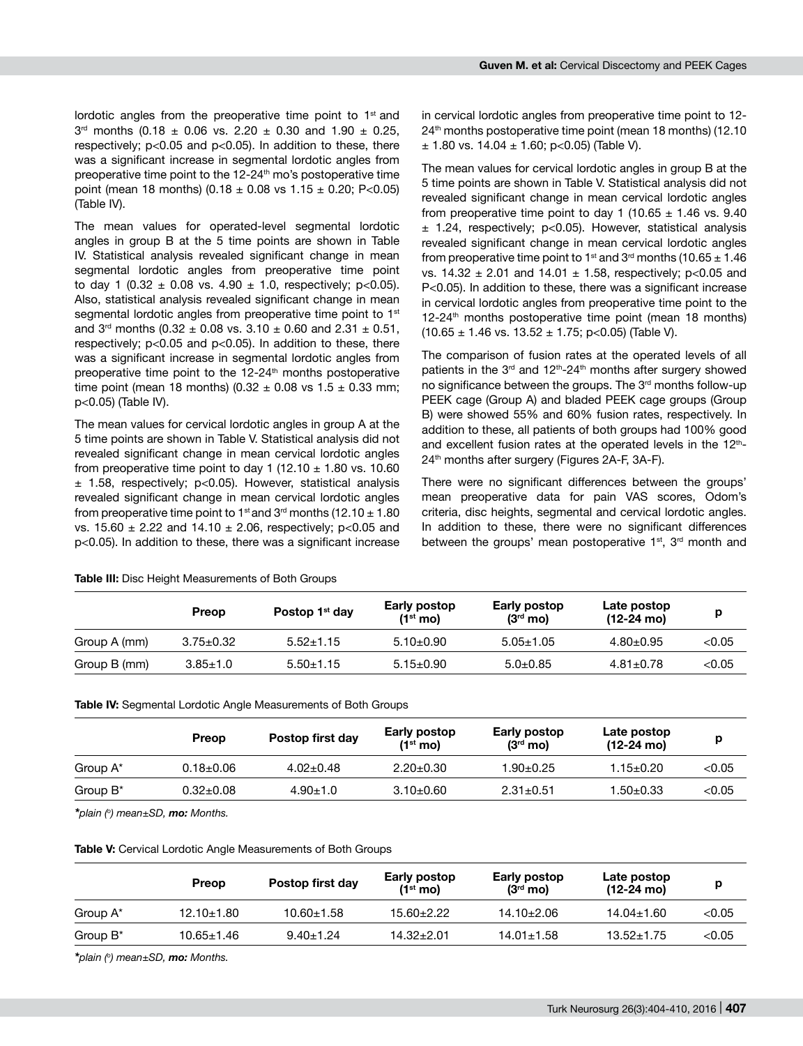lordotic angles from the preoperative time point to  $1<sup>st</sup>$  and  $3<sup>rd</sup>$  months (0.18  $\pm$  0.06 vs. 2.20  $\pm$  0.30 and 1.90  $\pm$  0.25, respectively; p<0.05 and p<0.05). In addition to these, there was a significant increase in segmental lordotic angles from preoperative time point to the  $12-24<sup>th</sup>$  mo's postoperative time point (mean 18 months)  $(0.18 \pm 0.08 \text{ vs } 1.15 \pm 0.20; \text{ P} < 0.05)$ (Table IV).

The mean values for operated-level segmental lordotic angles in group B at the 5 time points are shown in Table IV. Statistical analysis revealed significant change in mean segmental lordotic angles from preoperative time point to day 1 (0.32  $\pm$  0.08 vs. 4.90  $\pm$  1.0, respectively; p<0.05). Also, statistical analysis revealed significant change in mean segmental lordotic angles from preoperative time point to 1<sup>st</sup> and 3<sup>rd</sup> months (0.32  $\pm$  0.08 vs. 3.10  $\pm$  0.60 and 2.31  $\pm$  0.51, respectively; p<0.05 and p<0.05). In addition to these, there was a significant increase in segmental lordotic angles from preoperative time point to the 12-24<sup>th</sup> months postoperative time point (mean 18 months) (0.32  $\pm$  0.08 vs 1.5  $\pm$  0.33 mm; p<0.05) (Table IV).

The mean values for cervical lordotic angles in group A at the 5 time points are shown in Table V. Statistical analysis did not revealed significant change in mean cervical lordotic angles from preoperative time point to day 1 (12.10  $\pm$  1.80 vs. 10.60 ± 1.58, respectively; p<0.05). However, statistical analysis revealed significant change in mean cervical lordotic angles from preoperative time point to 1<sup>st</sup> and 3<sup>rd</sup> months (12.10  $\pm$  1.80 vs. 15.60  $\pm$  2.22 and 14.10  $\pm$  2.06, respectively; p<0.05 and p<0.05). In addition to these, there was a significant increase

in cervical lordotic angles from preoperative time point to 12- 24th months postoperative time point (mean 18 months) (12.10  $\pm$  1.80 vs. 14.04  $\pm$  1.60; p < 0.05) (Table V).

The mean values for cervical lordotic angles in group B at the 5 time points are shown in Table V. Statistical analysis did not revealed significant change in mean cervical lordotic angles from preoperative time point to day 1 (10.65  $\pm$  1.46 vs. 9.40 ± 1.24, respectively; p<0.05). However, statistical analysis revealed significant change in mean cervical lordotic angles from preoperative time point to 1<sup>st</sup> and 3<sup>rd</sup> months (10.65  $\pm$  1.46 vs.  $14.32 \pm 2.01$  and  $14.01 \pm 1.58$ , respectively; p<0.05 and P<0.05). In addition to these, there was a significant increase in cervical lordotic angles from preoperative time point to the  $12-24$ <sup>th</sup> months postoperative time point (mean 18 months)  $(10.65 \pm 1.46 \text{ vs. } 13.52 \pm 1.75; \text{ p} < 0.05)$  (Table V).

The comparison of fusion rates at the operated levels of all patients in the 3<sup>rd</sup> and 12<sup>th</sup>-24<sup>th</sup> months after surgery showed no significance between the groups. The 3<sup>rd</sup> months follow-up PEEK cage (Group A) and bladed PEEK cage groups (Group B) were showed 55% and 60% fusion rates, respectively. In addition to these, all patients of both groups had 100% good and excellent fusion rates at the operated levels in the 12<sup>th</sup>-24<sup>th</sup> months after surgery (Figures 2A-F, 3A-F).

There were no significant differences between the groups' mean preoperative data for pain VAS scores, Odom's criteria, disc heights, segmental and cervical lordotic angles. In addition to these, there were no significant differences between the groups' mean postoperative  $1<sup>st</sup>$ ,  $3<sup>rd</sup>$  month and

|              | Preop           | Postop 1 <sup>st</sup> day | Early postop<br>$(1st$ mo) | Early postop<br>$(3rd$ mo) | Late postop<br>$(12-24 \text{ mol})$ |          |
|--------------|-----------------|----------------------------|----------------------------|----------------------------|--------------------------------------|----------|
| Group A (mm) | $3.75 \pm 0.32$ | $5.52 \pm 1.15$            | $5.10+0.90$                | $5.05 \pm 1.05$            | $4.80 \pm 0.95$                      | $<$ 0.05 |
| Group B (mm) | $3.85 \pm 1.0$  | $5.50 + 1.15$              | $5.15 \pm 0.90$            | $5.0 + 0.85$               | $4.81 \pm 0.78$                      | < 0.05   |

**Table III:** Disc Height Measurements of Both Groups

**Table IV:** Segmental Lordotic Angle Measurements of Both Groups

|                      | Preop           | Postop first day | Early postop<br>$(1st$ mo) | Early postop<br>$(3rd$ mo) | Late postop<br>$(12-24 \text{ mol})$ |        |
|----------------------|-----------------|------------------|----------------------------|----------------------------|--------------------------------------|--------|
| Group A <sup>*</sup> | $0.18 + 0.06$   | $4.02 \pm 0.48$  | $2.20 \pm 0.30$            | $1.90 + 0.25$              | $1.15 + 0.20$                        | < 0.05 |
| Group $B^*$          | $0.32 \pm 0.08$ | $4.90 \pm 1.0$   | $3.10 \pm 0.60$            | $2.31 \pm 0.51$            | $1.50 + 0.33$                        | < 0.05 |

*\*plain (o) mean±SD, mo: Months.*

#### **Table V:** Cervical Lordotic Angle Measurements of Both Groups

|                  |                  | Early postop<br>$(1st$ mo) | Early postop<br>$(3rd$ mo) | Late postop<br>$(12-24 \text{ mo})$ |          |
|------------------|------------------|----------------------------|----------------------------|-------------------------------------|----------|
| $12.10 \pm 1.80$ | $10.60 \pm 1.58$ | $15.60 \pm 2.22$           | $14.10 \pm 2.06$           | $14.04 \pm 1.60$                    | <0.05    |
| $10.65 \pm 1.46$ | $9.40 + 1.24$    | $14.32 + 2.01$             | $14.01 \pm 1.58$           | $13.52 \pm 1.75$                    | $<$ 0.05 |
|                  |                  | Postop first day<br>Preop  |                            |                                     |          |

*\*plain (o) mean±SD, mo: Months.*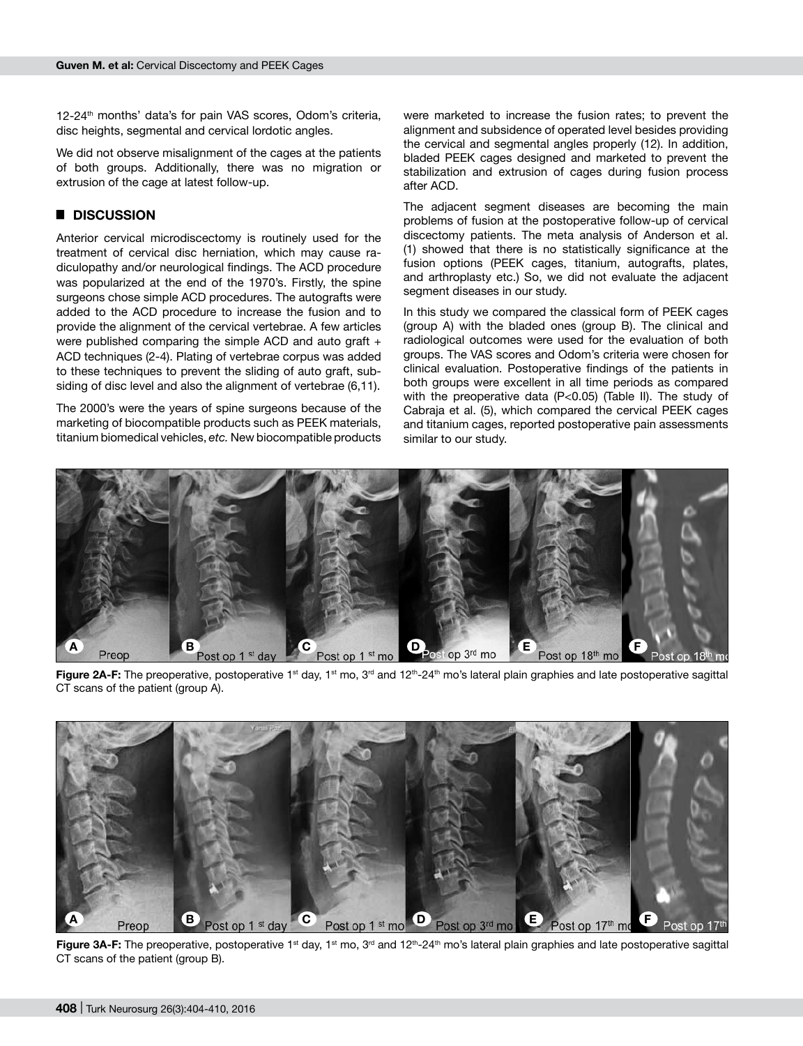12-24<sup>th</sup> months' data's for pain VAS scores, Odom's criteria, disc heights, segmental and cervical lordotic angles.

We did not observe misalignment of the cages at the patients of both groups. Additionally, there was no migration or extrusion of the cage at latest follow-up.

## █ **DISCUSSION**

Anterior cervical microdiscectomy is routinely used for the treatment of cervical disc herniation, which may cause radiculopathy and/or neurological findings. The ACD procedure was popularized at the end of the 1970's. Firstly, the spine surgeons chose simple ACD procedures. The autografts were added to the ACD procedure to increase the fusion and to provide the alignment of the cervical vertebrae. A few articles were published comparing the simple ACD and auto graft + ACD techniques (2-4). Plating of vertebrae corpus was added to these techniques to prevent the sliding of auto graft, subsiding of disc level and also the alignment of vertebrae (6,11).

The 2000's were the years of spine surgeons because of the marketing of biocompatible products such as PEEK materials, titanium biomedical vehicles, *etc.* New biocompatible products

were marketed to increase the fusion rates; to prevent the alignment and subsidence of operated level besides providing the cervical and segmental angles properly (12). In addition, bladed PEEK cages designed and marketed to prevent the stabilization and extrusion of cages during fusion process after ACD.

The adjacent segment diseases are becoming the main problems of fusion at the postoperative follow-up of cervical discectomy patients. The meta analysis of Anderson et al. (1) showed that there is no statistically significance at the fusion options (PEEK cages, titanium, autografts, plates, and arthroplasty etc.) So, we did not evaluate the adjacent segment diseases in our study.

In this study we compared the classical form of PEEK cages (group A) with the bladed ones (group B). The clinical and radiological outcomes were used for the evaluation of both groups. The VAS scores and Odom's criteria were chosen for clinical evaluation. Postoperative findings of the patients in both groups were excellent in all time periods as compared with the preoperative data (P<0.05) (Table II). The study of Cabraja et al. (5), which compared the cervical PEEK cages and titanium cages, reported postoperative pain assessments similar to our study.



Figure 2A-F: The preoperative, postoperative 1<sup>st</sup> day, 1<sup>st</sup> mo, 3<sup>rd</sup> and 12<sup>th</sup>-24<sup>th</sup> mo's lateral plain graphies and late postoperative sagittal CT scans of the patient (group A).



Figure 3A-F: The preoperative, postoperative 1<sup>st</sup> day, 1<sup>st</sup> mo, 3<sup>rd</sup> and 12<sup>th</sup>-24<sup>th</sup> mo's lateral plain graphies and late postoperative sagittal CT scans of the patient (group B).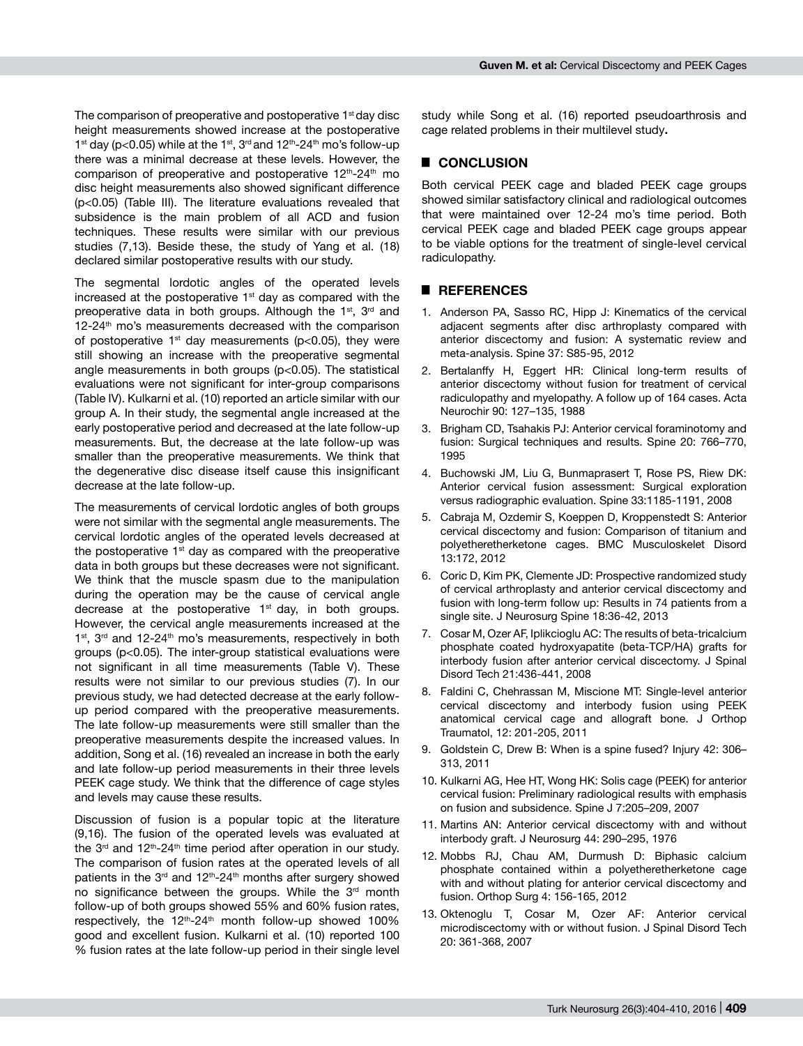The comparison of preoperative and postoperative 1<sup>st</sup> day disc height measurements showed increase at the postoperative 1st day (p<0.05) while at the 1st, 3<sup>rd</sup> and 12<sup>th</sup>-24<sup>th</sup> mo's follow-up there was a minimal decrease at these levels. However, the comparison of preoperative and postoperative  $12<sup>th</sup>$ -24<sup>th</sup> mo disc height measurements also showed significant difference (p<0.05) (Table III). The literature evaluations revealed that subsidence is the main problem of all ACD and fusion techniques. These results were similar with our previous studies (7,13). Beside these, the study of Yang et al. (18) declared similar postoperative results with our study.

The segmental lordotic angles of the operated levels increased at the postoperative  $1<sup>st</sup>$  day as compared with the preoperative data in both groups. Although the 1<sup>st</sup>, 3<sup>rd</sup> and 12-24<sup>th</sup> mo's measurements decreased with the comparison of postoperative 1<sup>st</sup> day measurements ( $p$ <0.05), they were still showing an increase with the preoperative segmental angle measurements in both groups (p<0.05). The statistical evaluations were not significant for inter-group comparisons (Table IV). Kulkarni et al. (10) reported an article similar with our group A. In their study, the segmental angle increased at the early postoperative period and decreased at the late follow-up measurements. But, the decrease at the late follow-up was smaller than the preoperative measurements. We think that the degenerative disc disease itself cause this insignificant decrease at the late follow-up.

The measurements of cervical lordotic angles of both groups were not similar with the segmental angle measurements. The cervical lordotic angles of the operated levels decreased at the postoperative  $1<sup>st</sup>$  day as compared with the preoperative data in both groups but these decreases were not significant. We think that the muscle spasm due to the manipulation during the operation may be the cause of cervical angle decrease at the postoperative  $1<sup>st</sup>$  day, in both groups. However, the cervical angle measurements increased at the  $1<sup>st</sup>$ ,  $3<sup>rd</sup>$  and  $12-24<sup>th</sup>$  mo's measurements, respectively in both groups (p<0.05). The inter-group statistical evaluations were not significant in all time measurements (Table V). These results were not similar to our previous studies (7). In our previous study, we had detected decrease at the early followup period compared with the preoperative measurements. The late follow-up measurements were still smaller than the preoperative measurements despite the increased values. In addition, Song et al. (16) revealed an increase in both the early and late follow-up period measurements in their three levels PEEK cage study. We think that the difference of cage styles and levels may cause these results.

Discussion of fusion is a popular topic at the literature (9,16). The fusion of the operated levels was evaluated at the 3<sup>rd</sup> and 12<sup>th</sup>-24<sup>th</sup> time period after operation in our study. The comparison of fusion rates at the operated levels of all patients in the  $3<sup>rd</sup>$  and  $12<sup>th</sup>$ -24<sup>th</sup> months after surgery showed no significance between the groups. While the 3<sup>rd</sup> month follow-up of both groups showed 55% and 60% fusion rates, respectively, the  $12<sup>th</sup> - 24<sup>th</sup>$  month follow-up showed 100% good and excellent fusion. Kulkarni et al. (10) reported 100 % fusion rates at the late follow-up period in their single level

study while Song et al. (16) reported pseudoarthrosis and cage related problems in their multilevel study**.**

# █ **CONCLUSION**

Both cervical PEEK cage and bladed PEEK cage groups showed similar satisfactory clinical and radiological outcomes that were maintained over 12-24 mo's time period. Both cervical PEEK cage and bladed PEEK cage groups appear to be viable options for the treatment of single-level cervical radiculopathy.

## █ **REFERENCES**

- 1. Anderson PA, Sasso RC, Hipp J: Kinematics of the cervical adjacent segments after disc arthroplasty compared with anterior discectomy and fusion: A systematic review and meta-analysis. Spine 37: S85-95, 2012
- 2. Bertalanffy H, Eggert HR: Clinical long-term results of anterior discectomy without fusion for treatment of cervical radiculopathy and myelopathy. A follow up of 164 cases. Acta Neurochir 90: 127–135, 1988
- 3. Brigham CD, Tsahakis PJ: Anterior cervical foraminotomy and fusion: Surgical techniques and results. Spine 20: 766–770, 1995
- 4. Buchowski JM, Liu G, Bunmaprasert T, Rose PS, Riew DK: Anterior cervical fusion assessment: Surgical exploration versus radiographic evaluation. Spine 33:1185-1191, 2008
- 5. Cabraja M, Ozdemir S, Koeppen D, Kroppenstedt S: Anterior cervical discectomy and fusion: Comparison of titanium and polyetheretherketone cages. BMC Musculoskelet Disord 13:172, 2012
- 6. Coric D, Kim PK, Clemente JD: Prospective randomized study of cervical arthroplasty and anterior cervical discectomy and fusion with long-term follow up: Results in 74 patients from a single site. J Neurosurg Spine 18:36-42, 2013
- 7. Cosar M, Ozer AF, Iplikcioglu AC: The results of beta-tricalcium phosphate coated hydroxyapatite (beta-TCP/HA) grafts for interbody fusion after anterior cervical discectomy. J Spinal Disord Tech 21:436-441, 2008
- 8. Faldini C, Chehrassan M, Miscione MT: Single-level anterior cervical discectomy and interbody fusion using PEEK anatomical cervical cage and allograft bone. J Orthop Traumatol, 12: 201-205, 2011
- 9. Goldstein C, Drew B: When is a spine fused? Injury 42: 306– 313, 2011
- 10. Kulkarni AG, Hee HT, Wong HK: Solis cage (PEEK) for anterior cervical fusion: Preliminary radiological results with emphasis on fusion and subsidence. Spine J 7:205–209, 2007
- 11. Martins AN: Anterior cervical discectomy with and without interbody graft. J Neurosurg 44: 290–295, 1976
- 12. Mobbs RJ, Chau AM, Durmush D: Biphasic calcium phosphate contained within a polyetheretherketone cage with and without plating for anterior cervical discectomy and fusion. Orthop Surg 4: 156-165, 2012
- 13. Oktenoglu T, Cosar M, Ozer AF: Anterior cervical microdiscectomy with or without fusion. J Spinal Disord Tech 20: 361-368, 2007